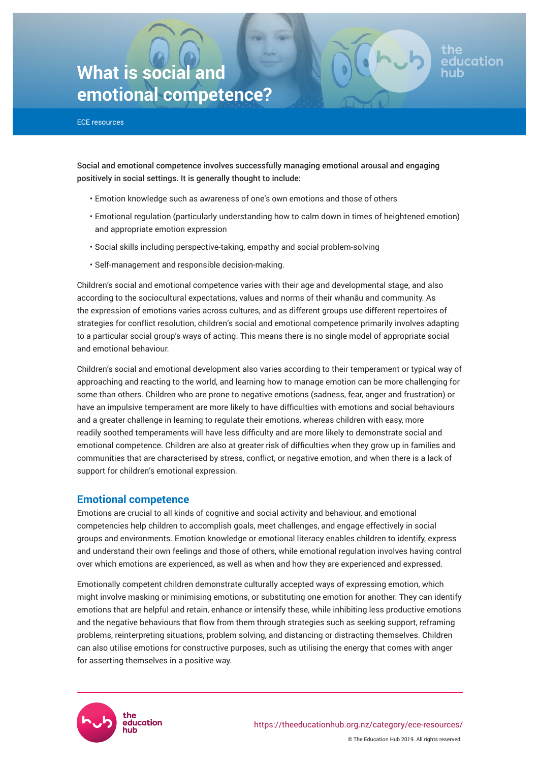# **What is social and emotional competence?**

ECE resources

Social and emotional competence involves successfully managing emotional arousal and engaging positively in social settings. It is generally thought to include:

- Emotion knowledge such as awareness of one's own emotions and those of others
- Emotional regulation (particularly understanding how to calm down in times of heightened emotion) and appropriate emotion expression

ducation

- Social skills including perspective-taking, empathy and social problem-solving
- Self-management and responsible decision-making.

Children's social and emotional competence varies with their age and developmental stage, and also according to the sociocultural expectations, values and norms of their whanāu and community. As the expression of emotions varies across cultures, and as different groups use different repertoires of strategies for conflict resolution, children's social and emotional competence primarily involves adapting to a particular social group's ways of acting. This means there is no single model of appropriate social and emotional behaviour.

Children's social and emotional development also varies according to their temperament or typical way of approaching and reacting to the world, and learning how to manage emotion can be more challenging for some than others. Children who are prone to negative emotions (sadness, fear, anger and frustration) or have an impulsive temperament are more likely to have difficulties with emotions and social behaviours and a greater challenge in learning to regulate their emotions, whereas children with easy, more readily soothed temperaments will have less difficulty and are more likely to demonstrate social and emotional competence. Children are also at greater risk of difficulties when they grow up in families and communities that are characterised by stress, conflict, or negative emotion, and when there is a lack of support for children's emotional expression.

# **Emotional competence**

Emotions are crucial to all kinds of cognitive and social activity and behaviour, and emotional competencies help children to accomplish goals, meet challenges, and engage effectively in social groups and environments. Emotion knowledge or emotional literacy enables children to identify, express and understand their own feelings and those of others, while emotional regulation involves having control over which emotions are experienced, as well as when and how they are experienced and expressed.

Emotionally competent children demonstrate culturally accepted ways of expressing emotion, which might involve masking or minimising emotions, or substituting one emotion for another. They can identify emotions that are helpful and retain, enhance or intensify these, while inhibiting less productive emotions and the negative behaviours that flow from them through strategies such as seeking support, reframing problems, reinterpreting situations, problem solving, and distancing or distracting themselves. Children can also utilise emotions for constructive purposes, such as utilising the energy that comes with anger for asserting themselves in a positive way.

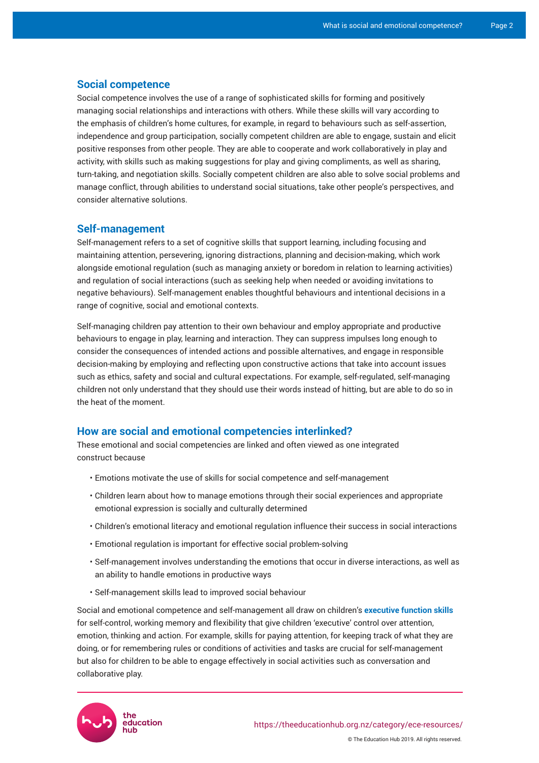#### **Social competence**

Social competence involves the use of a range of sophisticated skills for forming and positively managing social relationships and interactions with others. While these skills will vary according to the emphasis of children's home cultures, for example, in regard to behaviours such as self-assertion, independence and group participation, socially competent children are able to engage, sustain and elicit positive responses from other people. They are able to cooperate and work collaboratively in play and activity, with skills such as making suggestions for play and giving compliments, as well as sharing, turn-taking, and negotiation skills. Socially competent children are also able to solve social problems and manage conflict, through abilities to understand social situations, take other people's perspectives, and consider alternative solutions.

#### **Self-management**

Self-management refers to a set of cognitive skills that support learning, including focusing and maintaining attention, persevering, ignoring distractions, planning and decision-making, which work alongside emotional regulation (such as managing anxiety or boredom in relation to learning activities) and regulation of social interactions (such as seeking help when needed or avoiding invitations to negative behaviours). Self-management enables thoughtful behaviours and intentional decisions in a range of cognitive, social and emotional contexts.

Self-managing children pay attention to their own behaviour and employ appropriate and productive behaviours to engage in play, learning and interaction. They can suppress impulses long enough to consider the consequences of intended actions and possible alternatives, and engage in responsible decision-making by employing and reflecting upon constructive actions that take into account issues such as ethics, safety and social and cultural expectations. For example, self-regulated, self-managing children not only understand that they should use their words instead of hitting, but are able to do so in the heat of the moment.

# **How are social and emotional competencies interlinked?**

These emotional and social competencies are linked and often viewed as one integrated construct because

- Emotions motivate the use of skills for social competence and self-management
- Children learn about how to manage emotions through their social experiences and appropriate emotional expression is socially and culturally determined
- Children's emotional literacy and emotional regulation influence their success in social interactions
- Emotional regulation is important for effective social problem-solving
- Self-management involves understanding the emotions that occur in diverse interactions, as well as an ability to handle emotions in productive ways
- Self-management skills lead to improved social behaviour

Social and emotional competence and self-management all draw on children's **[executive function skills](https://theeducationhub.org.nz/category/ece-resources/executive-function-in-ece/)**  for self-control, working memory and flexibility that give children 'executive' control over attention, emotion, thinking and action. For example, skills for paying attention, for keeping track of what they are doing, or for remembering rules or conditions of activities and tasks are crucial for self-management but also for children to be able to engage effectively in social activities such as conversation and collaborative play.



© The Education Hub 2019. All rights reserved.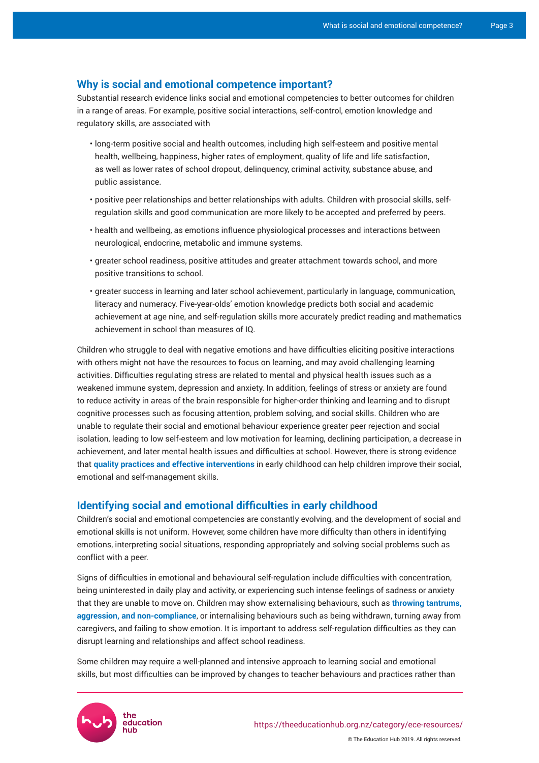## **Why is social and emotional competence important?**

Substantial research evidence links social and emotional competencies to better outcomes for children in a range of areas. For example, positive social interactions, self-control, emotion knowledge and regulatory skills, are associated with

- long-term positive social and health outcomes, including high self-esteem and positive mental health, wellbeing, happiness, higher rates of employment, quality of life and life satisfaction, as well as lower rates of school dropout, delinquency, criminal activity, substance abuse, and public assistance.
- positive peer relationships and better relationships with adults. Children with prosocial skills, selfregulation skills and good communication are more likely to be accepted and preferred by peers.
- health and wellbeing, as emotions influence physiological processes and interactions between neurological, endocrine, metabolic and immune systems.
- greater school readiness, positive attitudes and greater attachment towards school, and more positive transitions to school.
- greater success in learning and later school achievement, particularly in language, communication, literacy and numeracy. Five-year-olds' emotion knowledge predicts both social and academic achievement at age nine, and self-regulation skills more accurately predict reading and mathematics achievement in school than measures of IQ.

Children who struggle to deal with negative emotions and have difficulties eliciting positive interactions with others might not have the resources to focus on learning, and may avoid challenging learning activities. Difficulties regulating stress are related to mental and physical health issues such as a weakened immune system, depression and anxiety. In addition, feelings of stress or anxiety are found to reduce activity in areas of the brain responsible for higher-order thinking and learning and to disrupt cognitive processes such as focusing attention, problem solving, and social skills. Children who are unable to regulate their social and emotional behaviour experience greater peer rejection and social isolation, leading to low self-esteem and low motivation for learning, declining participation, a decrease in achievement, and later mental health issues and difficulties at school. However, there is strong evidence that **quality practices and effective interventions** in early childhood can help children improve their social, emotional and self-management skills.

## **Identifying social and emotional difficulties in early childhood**

Children's social and emotional competencies are constantly evolving, and the development of social and emotional skills is not uniform. However, some children have more difficulty than others in identifying emotions, interpreting social situations, responding appropriately and solving social problems such as conflict with a peer.

Signs of difficulties in emotional and behavioural self-regulation include difficulties with concentration, being uninterested in daily play and activity, or experiencing such intense feelings of sadness or anxiety that they are unable to move on. Children may show externalising behaviours, such as **throwing tantrums, aggression, and non-compliance**, or internalising behaviours such as being withdrawn, turning away from caregivers, and failing to show emotion. It is important to address self-regulation difficulties as they can disrupt learning and relationships and affect school readiness.

Some children may require a well-planned and intensive approach to learning social and emotional skills, but most difficulties can be improved by changes to teacher behaviours and practices rather than



© The Education Hub 2019. All rights reserved.